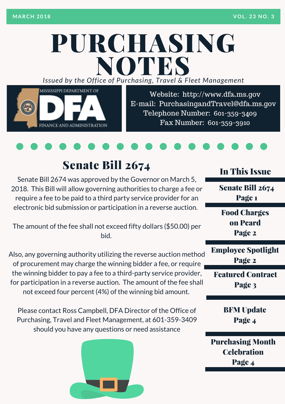# PURCHASING *Issued by the Off ice of Purcha sing, T ravel & Fleet Management* NOTES



Website: http://www.dfa.ms.gov E-mail: [PurchasingandTravel@dfa.ms.gov](http://www.dfa.ms.gov/) Telephone Number: 601-359-3409 Fax Number: 601-359-3910



## Senate Bill 2674

Senate Bill 2674 was approved by the Governor on March 5, 2018. This Bill will allow governing authorities to charge a fee or require a fee to be paid to a third party service provider for an electronic bid submission or participation in a reverse auction.

The amount of the fee shall not exceed fifty dollars (\$50.00) per bid.

Also, any governing authority utilizing the reverse auction method of procurement may charge the winning bidder a fee, or require the winning bidder to pay a fee to a third-party service provider, for participation in a reverse auction. The amount of the fee shall not exceed four percent (4%) of the winning bid amount.

Please contact Ross Campbell, DFA Director of the Office of Purchasing, Travel and Fleet Management, at 601-359-3409 should you have any questions or need assistance



#### In This Issue

Senate Bill 2674 Page 1

Food Charges on Pcard Page 2

Employee Spotlight Page 2

Featured Contract Page 3

> BFM Update Page 4

Purchasing Month **Celchration** Page 4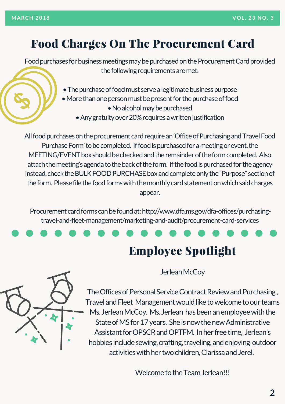## Food Charges On The Procurement Card

Food purchases for business meetings may be purchased on the Procurement Card provided the following requirements are met:

- The purchase of food must serve a legitimate business purpose
- More than one person must be present for the purchase of food
	- No alcohol may be purchased
	- Any gratuity over 20% requires a written justification

All food purchases on the procurement card require an 'Office of Purchasing and Travel Food Purchase Form' to be completed. If food is purchased for a meeting or event, the MEETING/EVENT box should be checked and the remainder of the form completed. Also attach the meeting's agenda to the back of the form. If the food is purchased for the agency instead, check the BULK FOOD PURCHASE box and complete only the "Purpose" section of the form. Please file the food forms with the monthly card statement on which said charges appear.

Procurement card forms can be found at: http://www.dfa.ms.gov/dfa-offices/purchasingtravel-and-fleet-management/marketing-and-audit/procurement-card-services





Jerlean McCoy

The Offices of Personal Service Contract Review and Purchasing, Travel and Fleet Management would like to welcome to our teams Ms. Jerlean McCoy. Ms. Jerlean has been an employee with the State of MS for 17 years. She is now the new Administrative Assistant for OPSCR and OPTFM. In her free time, Jerlean's hobbies include sewing, crafting, traveling, and enjoying outdoor activities with her two children, Clarissa and Jerel.

Welcome to the Team Jerlean!!!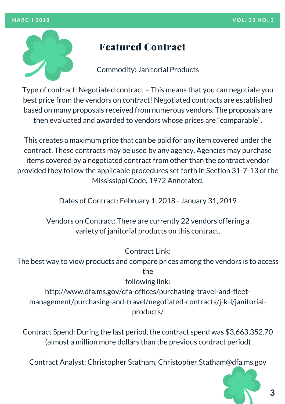

#### Featured Contract

Commodity: Janitorial Products

Type of contract: Negotiated contract – This means that you can negotiate you best price from the vendors on contract! Negotiated contracts are established based on many proposals received from numerous vendors. The proposals are then evaluated and awarded to vendors whose prices are "comparable".

This creates a maximum price that can be paid for any item covered under the contract. These contracts may be used by any agency. Agencies may purchase items covered by a negotiated contract from other than the contract vendor provided they follow the applicable procedures set forth in Section 31-7-13 of the Mississippi Code, 1972 Annotated.

Dates of Contract: February 1, 2018 - January 31, 2019

Vendors on Contract: There are currently 22 vendors offering a variety of janitorial products on this contract.

Contract Link:

The best way to view products and compare prices among the vendors is to access the

following link:

http://www.dfa.ms.gov/dfa-offices/purchasing-travel-and-fleet[management/purchasing-and-travel/negotiated-contracts/j-k-l/janitorial](http://www.dfa.ms.gov/dfa-offices/purchasing-travel-and-fleet-management/purchasing-and-travel/negotiated-contracts/j-k-l/janitorial-products/)products/

Contract Spend: During the last period, the contract spend was \$3,663,352.70 (almost a million more dollars than the previous contract period)

Contract Analyst: Christopher Statham, Christopher.Statham@dfa.ms.gov



**3**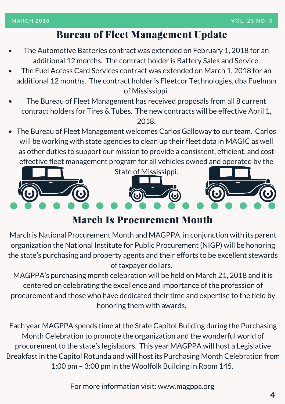#### Bureau of Fleet Management Update

- The Automotive Batteries contract was extended on February 1, 2018 for an additional 12 months. The contract holder is Battery Sales and Service.
- The Fuel Access Card Services contract was extended on March 1, 2018 for an additional 12 months. The contract holder is Fleetcor [Technologies,](http://www.dfa.ms.gov/media/1567/travelcardprogramcoordinatordesignation.pdf) dba Fuelman of Mississippi.
- The Bureau of Fleet Management has received proposals from all 8 current contract holders for Tires & Tubes. The new contracts will be effective April 1, 2018.
- The Bureau of Fleet Management welcomes Carlos Galloway to our team. Carlos will be working with state agencies to clean up their fleet data in MAGIC as well as other duties to support our mission to provide a consistent, efficient, and cost effective fleet management program for all vehicles owned and operated by the



#### March Is Procurement Month

March is National Procurement Month and MAGPPA in conjunction with its parent organization the National Institute for Public Procurement (NIGP) will be honoring the state's purchasing and property agents and their efforts to be excellent stewards of taxpayer dollars.

MAGPPA's purchasing month celebration will be held on March 21, 2018 and it is centered on celebrating the excellence and importance of the profession of procurement and those who have dedicated their time and expertise to the field by honoring them with awards.

Each year MAGPPA spends time at the State Capitol Building during the Purchasing Month Celebration to promote the organization and the wonderful world of procurement to the state's legislators. This year MAGPPA will host a Legislative Breakfast in the Capitol Rotunda and will host its Purchasing Month Celebration from 1:00 pm – 3:00 pm in the Woolfolk Building in Room 145.

For more information visit: [www.magppa.org](http://www.magppa.org/)